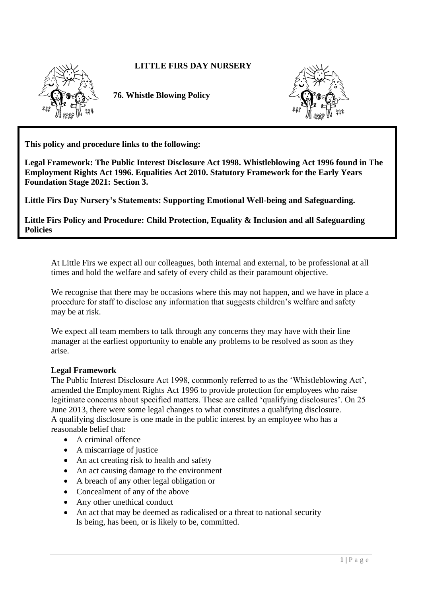### **LITTLE FIRS DAY NURSERY**



 **76. Whistle Blowing Policy**



**This policy and procedure links to the following:** 

**Legal Framework: The Public Interest Disclosure Act 1998. Whistleblowing Act 1996 found in The Employment Rights Act 1996. Equalities Act 2010. Statutory Framework for the Early Years Foundation Stage 2021: Section 3.**

**Little Firs Day Nursery's Statements: Supporting Emotional Well-being and Safeguarding.**

**Little Firs Policy and Procedure: Child Protection, Equality & Inclusion and all Safeguarding Policies**

At Little Firs we expect all our colleagues, both internal and external, to be professional at all times and hold the welfare and safety of every child as their paramount objective.

We recognise that there may be occasions where this may not happen, and we have in place a procedure for staff to disclose any information that suggests children's welfare and safety may be at risk.

We expect all team members to talk through any concerns they may have with their line manager at the earliest opportunity to enable any problems to be resolved as soon as they arise.

#### **Legal Framework**

The Public Interest Disclosure Act 1998, commonly referred to as the 'Whistleblowing Act', amended the Employment Rights Act 1996 to provide protection for employees who raise legitimate concerns about specified matters. These are called 'qualifying disclosures'. On 25 June 2013, there were some legal changes to what constitutes a qualifying disclosure. A qualifying disclosure is one made in the public interest by an employee who has a reasonable belief that:

- A criminal offence
- A miscarriage of justice
- An act creating risk to health and safety
- An act causing damage to the environment
- A breach of any other legal obligation or
- Concealment of any of the above
- Any other unethical conduct
- An act that may be deemed as radicalised or a threat to national security Is being, has been, or is likely to be, committed.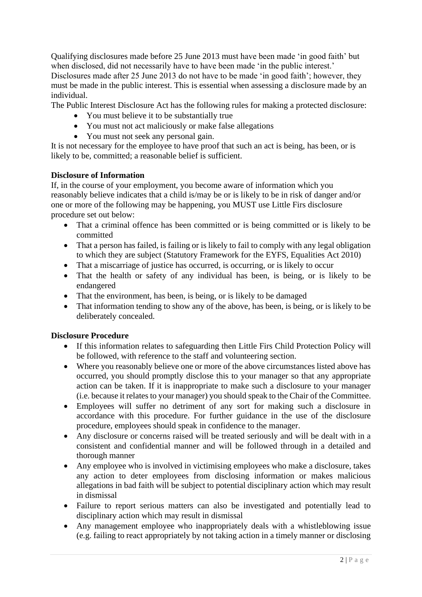Qualifying disclosures made before 25 June 2013 must have been made 'in good faith' but when disclosed, did not necessarily have to have been made 'in the public interest.'

Disclosures made after 25 June 2013 do not have to be made 'in good faith'; however, they must be made in the public interest. This is essential when assessing a disclosure made by an individual.

The Public Interest Disclosure Act has the following rules for making a protected disclosure:

- You must believe it to be substantially true
- You must not act maliciously or make false allegations
- You must not seek any personal gain.

It is not necessary for the employee to have proof that such an act is being, has been, or is likely to be, committed; a reasonable belief is sufficient.

# **Disclosure of Information**

If, in the course of your employment, you become aware of information which you reasonably believe indicates that a child is/may be or is likely to be in risk of danger and/or one or more of the following may be happening, you MUST use Little Firs disclosure procedure set out below:

- That a criminal offence has been committed or is being committed or is likely to be committed
- That a person has failed, is failing or is likely to fail to comply with any legal obligation to which they are subject (Statutory Framework for the EYFS, Equalities Act 2010)
- That a miscarriage of justice has occurred, is occurring, or is likely to occur
- That the health or safety of any individual has been, is being, or is likely to be endangered
- That the environment, has been, is being, or is likely to be damaged
- That information tending to show any of the above, has been, is being, or is likely to be deliberately concealed.

# **Disclosure Procedure**

- If this information relates to safeguarding then Little Firs Child Protection Policy will be followed, with reference to the staff and volunteering section.
- Where you reasonably believe one or more of the above circumstances listed above has occurred, you should promptly disclose this to your manager so that any appropriate action can be taken. If it is inappropriate to make such a disclosure to your manager (i.e. because it relates to your manager) you should speak to the Chair of the Committee.
- Employees will suffer no detriment of any sort for making such a disclosure in accordance with this procedure. For further guidance in the use of the disclosure procedure, employees should speak in confidence to the manager.
- Any disclosure or concerns raised will be treated seriously and will be dealt with in a consistent and confidential manner and will be followed through in a detailed and thorough manner
- Any employee who is involved in victimising employees who make a disclosure, takes any action to deter employees from disclosing information or makes malicious allegations in bad faith will be subject to potential disciplinary action which may result in dismissal
- Failure to report serious matters can also be investigated and potentially lead to disciplinary action which may result in dismissal
- Any management employee who inappropriately deals with a whistleblowing issue (e.g. failing to react appropriately by not taking action in a timely manner or disclosing